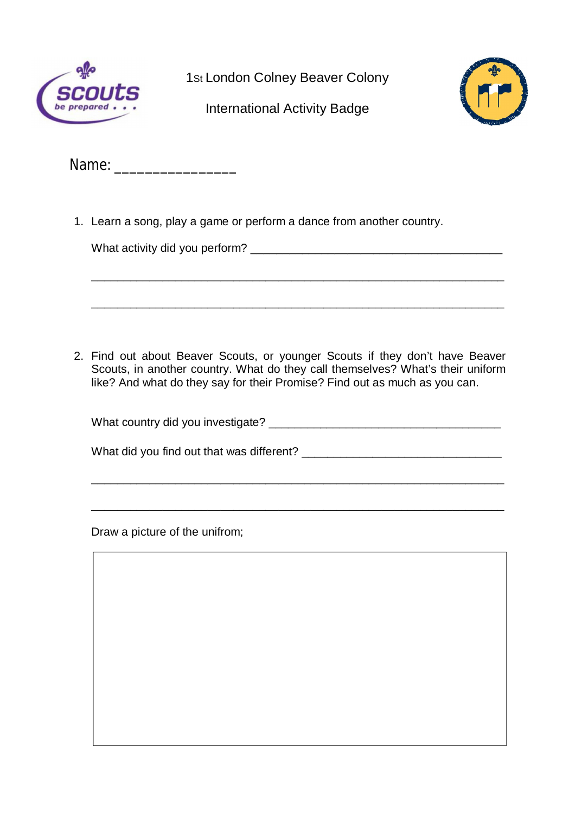

1St London Colney Beaver Colony

International Activity Badge



Name: \_\_\_\_\_\_\_\_\_\_\_\_\_\_\_\_

1. Learn a song, play a game or perform a dance from another country.

What activity did you perform? What activity did you perform?

\_\_\_\_\_\_\_\_\_\_\_\_\_\_\_\_\_\_\_\_\_\_\_\_\_\_\_\_\_\_\_\_\_\_\_\_\_\_\_\_\_\_\_\_\_\_\_\_\_\_\_\_\_\_\_\_\_\_\_\_\_\_\_\_

2. Find out about Beaver Scouts, or younger Scouts if they don't have Beaver Scouts, in another country. What do they call themselves? What's their uniform like? And what do they say for their Promise? Find out as much as you can.

| What country did you investigate? |  |
|-----------------------------------|--|
|-----------------------------------|--|

What did you find out that was different? \_\_\_\_\_\_\_\_\_\_\_\_\_\_\_\_\_\_\_\_\_\_\_\_\_\_\_\_\_\_\_

\_\_\_\_\_\_\_\_\_\_\_\_\_\_\_\_\_\_\_\_\_\_\_\_\_\_\_\_\_\_\_\_\_\_\_\_\_\_\_\_\_\_\_\_\_\_\_\_\_\_\_\_\_\_\_\_\_\_\_\_\_\_\_\_

\_\_\_\_\_\_\_\_\_\_\_\_\_\_\_\_\_\_\_\_\_\_\_\_\_\_\_\_\_\_\_\_\_\_\_\_\_\_\_\_\_\_\_\_\_\_\_\_\_\_\_\_\_\_\_\_\_\_\_\_\_\_\_\_

Draw a picture of the unifrom;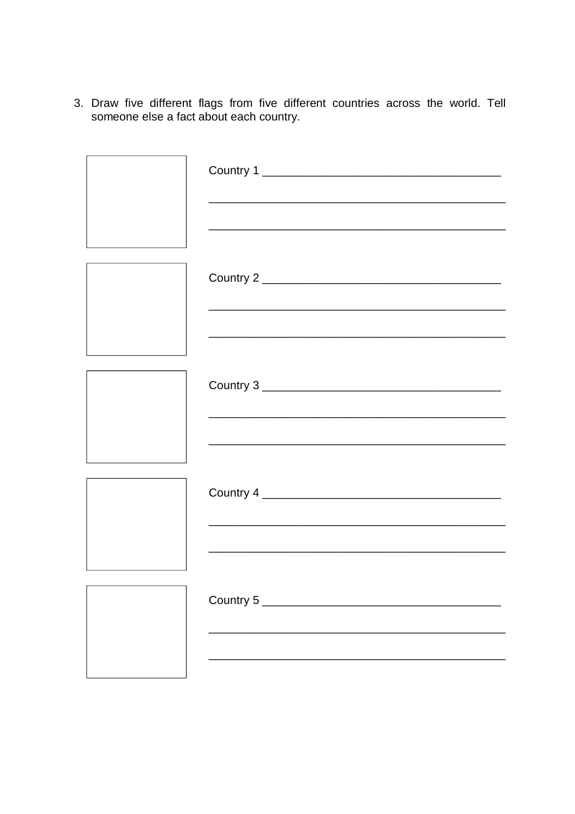3. Draw five different flags from five different countries across the world. Tell someone else a fact about each country.

| <u> 1989 - Johann John Stone, mensk politik foar it fan it fan it fan it fan it fan it fan it fan it fan it fan i</u> |
|-----------------------------------------------------------------------------------------------------------------------|
|                                                                                                                       |
|                                                                                                                       |
|                                                                                                                       |
|                                                                                                                       |
|                                                                                                                       |
|                                                                                                                       |
| Country 5 ______________________                                                                                      |
|                                                                                                                       |